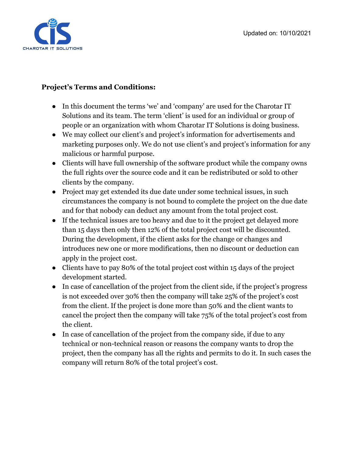

## **Project's Terms and Conditions:**

- In this document the terms 'we' and 'company' are used for the Charotar IT Solutions and its team. The term 'client' is used for an individual or group of people or an organization with whom Charotar IT Solutions is doing business.
- We may collect our client's and project's information for advertisements and marketing purposes only. We do not use client's and project's information for any malicious or harmful purpose.
- Clients will have full ownership of the software product while the company owns the full rights over the source code and it can be redistributed or sold to other clients by the company.
- Project may get extended its due date under some technical issues, in such circumstances the company is not bound to complete the project on the due date and for that nobody can deduct any amount from the total project cost.
- If the technical issues are too heavy and due to it the project get delayed more than 15 days then only then 12% of the total project cost will be discounted. During the development, if the client asks for the change or changes and introduces new one or more modifications, then no discount or deduction can apply in the project cost.
- Clients have to pay 80% of the total project cost within 15 days of the project development started.
- In case of cancellation of the project from the client side, if the project's progress is not exceeded over 30% then the company will take 25% of the project's cost from the client. If the project is done more than 50% and the client wants to cancel the project then the company will take 75% of the total project's cost from the client.
- In case of cancellation of the project from the company side, if due to any technical or non-technical reason or reasons the company wants to drop the project, then the company has all the rights and permits to do it. In such cases the company will return 80% of the total project's cost.